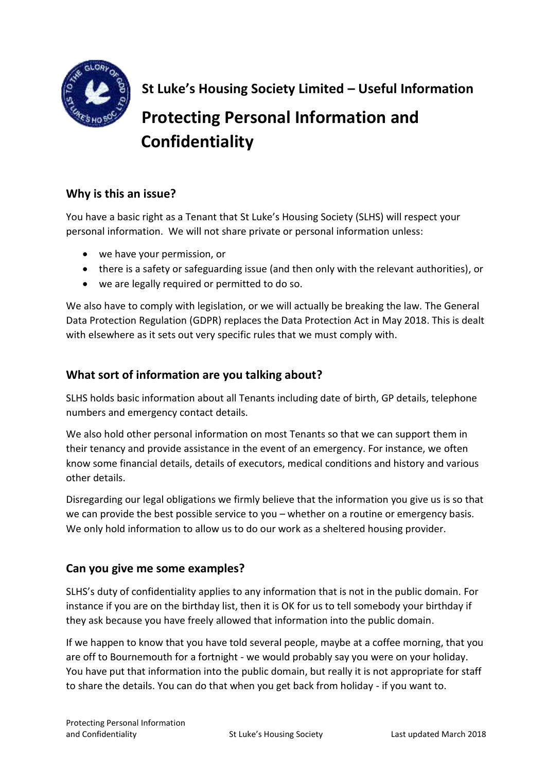

**St Luke's Housing Society Limited – Useful Information Protecting Personal Information and Confidentiality**

# **Why is this an issue?**

You have a basic right as a Tenant that St Luke's Housing Society (SLHS) will respect your personal information. We will not share private or personal information unless:

- we have your permission, or
- there is a safety or safeguarding issue (and then only with the relevant authorities), or
- we are legally required or permitted to do so.

We also have to comply with legislation, or we will actually be breaking the law. The General Data Protection Regulation (GDPR) replaces the Data Protection Act in May 2018. This is dealt with elsewhere as it sets out very specific rules that we must comply with.

### **What sort of information are you talking about?**

SLHS holds basic information about all Tenants including date of birth, GP details, telephone numbers and emergency contact details.

We also hold other personal information on most Tenants so that we can support them in their tenancy and provide assistance in the event of an emergency. For instance, we often know some financial details, details of executors, medical conditions and history and various other details.

Disregarding our legal obligations we firmly believe that the information you give us is so that we can provide the best possible service to you – whether on a routine or emergency basis. We only hold information to allow us to do our work as a sheltered housing provider.

### **Can you give me some examples?**

SLHS's duty of confidentiality applies to any information that is not in the public domain. For instance if you are on the birthday list, then it is OK for us to tell somebody your birthday if they ask because you have freely allowed that information into the public domain.

If we happen to know that you have told several people, maybe at a coffee morning, that you are off to Bournemouth for a fortnight - we would probably say you were on your holiday. You have put that information into the public domain, but really it is not appropriate for staff to share the details. You can do that when you get back from holiday - if you want to.